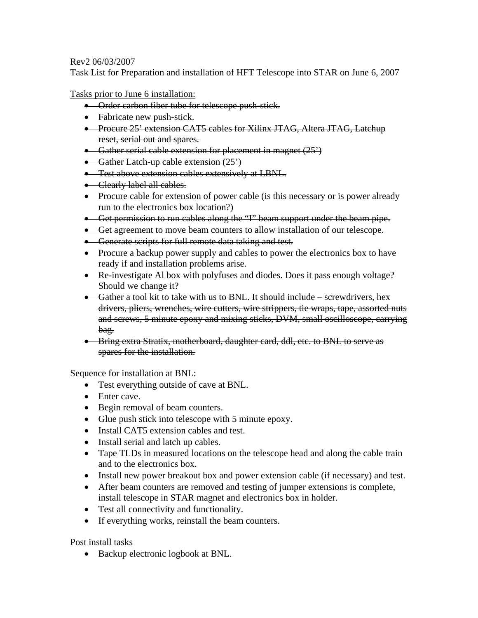## Rev2 06/03/2007

Task List for Preparation and installation of HFT Telescope into STAR on June 6, 2007

Tasks prior to June 6 installation:

- Order carbon fiber tube for telescope push-stick.
- Fabricate new push-stick.
- Procure 25' extension CAT5 cables for Xilinx JTAG, Altera JTAG, Latchup reset, serial out and spares.
- Gather serial cable extension for placement in magnet  $(25^{\prime})$
- Gather Latch-up cable extension  $(25')$
- **•** Test above extension cables extensively at LBNL.
- Clearly label all cables.
- Procure cable for extension of power cable (is this necessary or is power already run to the electronics box location?)
- Get permission to run cables along the "I" beam support under the beam pipe.
- Get agreement to move beam counters to allow installation of our telescope.
- Generate scripts for full remote data taking and test.
- Procure a backup power supply and cables to power the electronics box to have ready if and installation problems arise.
- Re-investigate Al box with polyfuses and diodes. Does it pass enough voltage? Should we change it?
- Gather a tool kit to take with us to BNL. It should include screwdrivers, hex drivers, pliers, wrenches, wire cutters, wire strippers, tie wraps, tape, assorted nuts and screws, 5 minute epoxy and mixing sticks, DVM, small oscilloscope, carrying bag.
- Bring extra Stratix, motherboard, daughter card, ddl, etc. to BNL to serve as spares for the installation.

Sequence for installation at BNL:

- Test everything outside of cave at BNL.
- Enter cave.
- Begin removal of beam counters.
- Glue push stick into telescope with 5 minute epoxy.
- Install CAT5 extension cables and test.
- Install serial and latch up cables.
- Tape TLDs in measured locations on the telescope head and along the cable train and to the electronics box.
- Install new power breakout box and power extension cable (if necessary) and test.
- After beam counters are removed and testing of jumper extensions is complete, install telescope in STAR magnet and electronics box in holder.
- Test all connectivity and functionality.
- If everything works, reinstall the beam counters.

Post install tasks

• Backup electronic logbook at BNL.